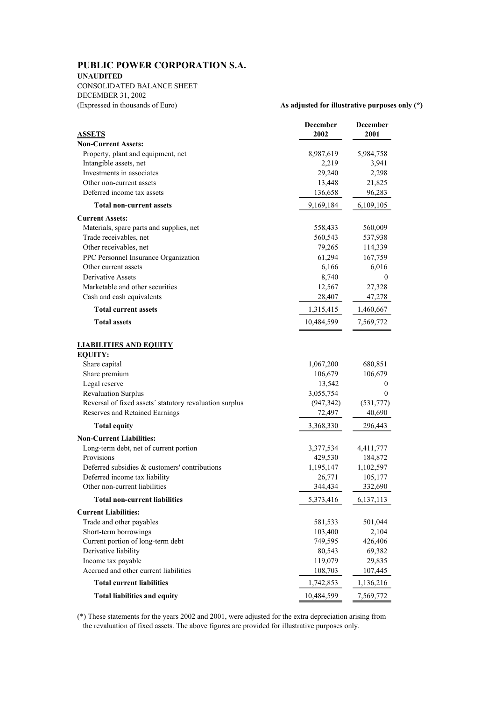# **PUBLIC POWER CORPORATION S.A.**

### **UNAUDITED**

CONSOLIDATED BALANCE SHEET DECEMBER 31, 2002 (Expressed in thousands of Euro) **As adjusted for illustrative purposes only (\*)**

|                                                         | December<br>2002 | <b>December</b><br>2001 |
|---------------------------------------------------------|------------------|-------------------------|
| <u>ASSETS</u><br><b>Non-Current Assets:</b>             |                  |                         |
| Property, plant and equipment, net                      | 8,987,619        | 5,984,758               |
| Intangible assets, net                                  | 2,219            | 3,941                   |
| Investments in associates                               | 29,240           | 2,298                   |
| Other non-current assets                                | 13,448           | 21,825                  |
| Deferred income tax assets                              | 136,658          | 96,283                  |
|                                                         |                  |                         |
| <b>Total non-current assets</b>                         | 9,169,184        | 6,109,105               |
| <b>Current Assets:</b>                                  |                  |                         |
| Materials, spare parts and supplies, net                | 558,433          | 560,009                 |
| Trade receivables, net                                  | 560,543          | 537,938                 |
| Other receivables, net                                  | 79,265           | 114,339                 |
| PPC Personnel Insurance Organization                    | 61,294           | 167,759                 |
| Other current assets                                    | 6,166            | 6,016                   |
| <b>Derivative Assets</b>                                | 8,740            | $\mathbf{0}$            |
| Marketable and other securities                         | 12,567           | 27,328                  |
| Cash and cash equivalents                               | 28,407           | 47,278                  |
| <b>Total current assets</b>                             | 1,315,415        | 1,460,667               |
| <b>Total assets</b>                                     | 10,484,599       | 7,569,772               |
| <u>LIABILITIES AND EQUITY</u><br><b>EQUITY:</b>         |                  |                         |
| Share capital                                           | 1,067,200        | 680,851                 |
| Share premium                                           | 106,679          | 106,679                 |
| Legal reserve                                           | 13,542           | $\mathbf{0}$            |
| <b>Revaluation Surplus</b>                              | 3,055,754        | $\theta$                |
| Reversal of fixed assets' statutory revaluation surplus | (947, 342)       | (531, 777)              |
| Reserves and Retained Earnings                          | 72,497           | 40,690                  |
| <b>Total equity</b>                                     | 3,368,330        | 296,443                 |
| <b>Non-Current Liabilities:</b>                         |                  |                         |
| Long-term debt, net of current portion                  | 3,377,534        | 4,411,777               |
| Provisions                                              | 429,530          | 184,872                 |
| Deferred subsidies & customers' contributions           | 1,195,147        | 1,102,597               |
| Deferred income tax liability                           | 26,771           | 105,177                 |
| Other non-current liabilities                           | 344,434          | 332,690                 |
| <b>Total non-current liabilities</b>                    | 5,373,416        | 6, 137, 113             |
| <b>Current Liabilities:</b>                             |                  |                         |
| Trade and other payables                                | 581,533          | 501,044                 |
| Short-term borrowings                                   | 103,400          | 2,104                   |
| Current portion of long-term debt                       | 749,595          | 426,406                 |
| Derivative liability                                    | 80,543           | 69,382                  |
| Income tax payable                                      | 119,079          | 29,835                  |
| Accrued and other current liabilities                   | 108,703          | 107,445                 |
| <b>Total current liabilities</b>                        | 1,742,853        | 1,136,216               |
| <b>Total liabilities and equity</b>                     | 10,484,599       | 7,569,772               |

(\*) These statements for the years 2002 and 2001, were adjusted for the extra depreciation arising from the revaluation of fixed assets. The above figures are provided for illustrative purposes only.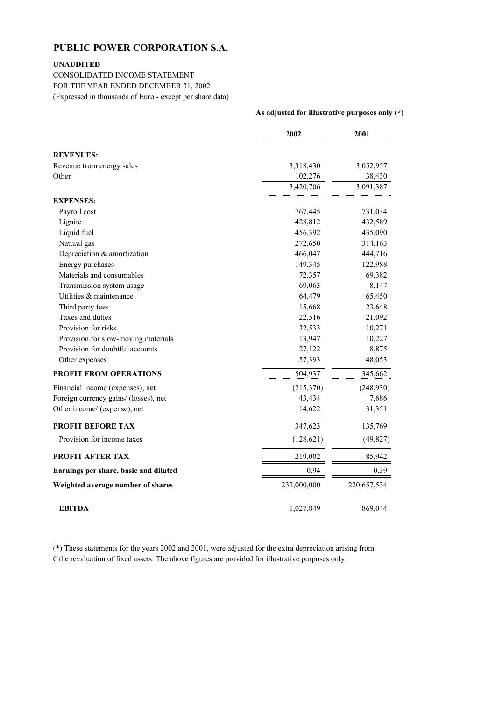## **PUBLIC POWER CORPORATION S.A.**

## **UNAUDITED**

CONSOLIDATED INCOME STATEMENT FOR THE YEAR ENDED DECEMBER 31, 2002 (Expressed in thousands of Euro - except per share data)

|                                       | 2002        | 2001        |
|---------------------------------------|-------------|-------------|
| <b>REVENUES:</b>                      |             |             |
| Revenue from energy sales             | 3,318,430   | 3,052,957   |
| Other                                 | 102,276     | 38,430      |
|                                       | 3,420,706   | 3,091,387   |
| <b>EXPENSES:</b>                      |             |             |
| Payroll cost                          | 767,445     | 731,034     |
| Lignite                               | 428,812     | 432,589     |
| Liquid fuel                           | 456,392     | 435,090     |
| Natural gas                           | 272,650     | 314,163     |
| Depreciation & amortization           | 466,047     | 444,716     |
| Energy purchases                      | 149,345     | 122,988     |
| Materials and consumables             | 72,357      | 69,382      |
| Transmission system usage             | 69,063      | 8,147       |
| Utilities & maintenance               | 64,479      | 65,450      |
| Third party fees                      | 15,668      | 23,648      |
| Taxes and duties                      | 22,516      | 21,092      |
| Provision for risks                   | 32,533      | 10,271      |
| Provision for slow-moving materials   | 13,947      | 10,227      |
| Provision for doubtful accounts       | 27,122      | 8,875       |
| Other expenses                        | 57,393      | 48,053      |
| <b>PROFIT FROM OPERATIONS</b>         | 504,937     | 345,662     |
| Financial income (expenses), net      | (215,370)   | (248,930)   |
| Foreign currency gains/ (losses), net | 43,434      | 7,686       |
| Other income/ (expense), net          | 14,622      | 31,351      |
| <b>PROFIT BEFORE TAX</b>              | 347,623     | 135,769     |
| Provision for income taxes            | (128,621)   | (49, 827)   |
| <b>PROFIT AFTER TAX</b>               | 219,002     | 85,942      |
| Earnings per share, basic and diluted | 0.94        | 0.39        |
| Weighted average number of shares     | 232,000,000 | 220,657,534 |
| <b>EBITDA</b>                         | 1,027,849   | 869,044     |

**As adjusted for illustrative purposes only (\*)**

(\*) These statements for the years 2002 and 2001, were adjusted for the extra depreciation arising from Cthe revaluation of fixed assets. The above figures are provided for illustrative purposes only.